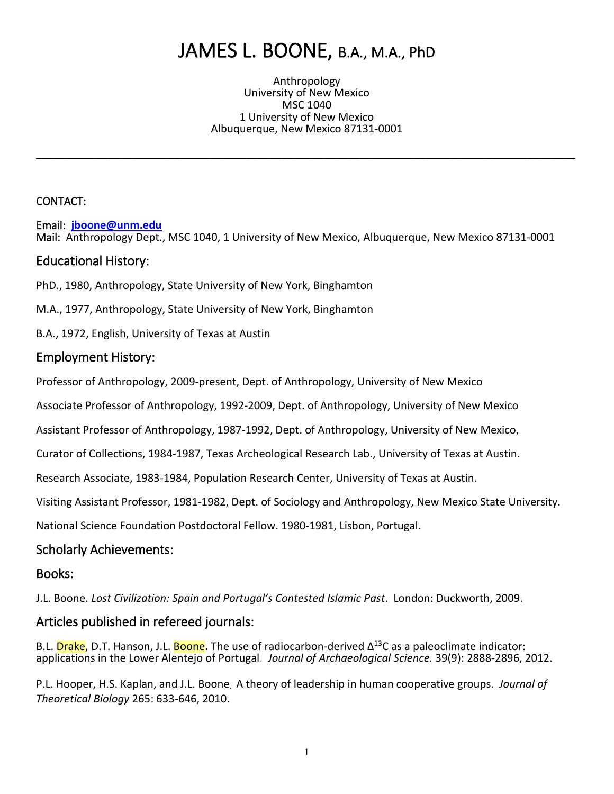# JAMES L. BOONE, B.A., M.A., PhD

Anthropology University of New Mexico MSC 1040 1 University of New Mexico Albuquerque, New Mexico 87131-0001

\_\_\_\_\_\_\_\_\_\_\_\_\_\_\_\_\_\_\_\_\_\_\_\_\_\_\_\_\_\_\_\_\_\_\_\_\_\_\_\_\_\_\_\_\_\_\_\_\_\_\_\_\_\_\_\_\_\_\_\_\_\_\_\_\_\_\_\_\_\_\_\_\_\_\_\_\_\_\_\_\_\_\_\_\_\_\_\_\_\_

#### CONTACT:

Email: **jboone@unm.edu** Mail:Anthropology Dept., MSC 1040, 1 University of New Mexico, Albuquerque, New Mexico 87131-0001

#### Educational History:

PhD., 1980, Anthropology, State University of New York, Binghamton

M.A., 1977, Anthropology, State University of New York, Binghamton

B.A., 1972, English, University of Texas at Austin

#### Employment History:

Professor of Anthropology, 2009-present, Dept. of Anthropology, University of New Mexico

Associate Professor of Anthropology, 1992-2009, Dept. of Anthropology, University of New Mexico

Assistant Professor of Anthropology, 1987-1992, Dept. of Anthropology, University of New Mexico,

Curator of Collections, 1984-1987, Texas Archeological Research Lab., University of Texas at Austin.

Research Associate, 1983-1984, Population Research Center, University of Texas at Austin.

Visiting Assistant Professor, 1981-1982, Dept. of Sociology and Anthropology, New Mexico State University.

National Science Foundation Postdoctoral Fellow. 1980-1981, Lisbon, Portugal.

#### Scholarly Achievements:

#### Books:

J.L. Boone. *Lost Civilization: Spain and Portugal's Contested Islamic Past*. London: Duckworth, 2009.

#### Articles published in refereed journals:

B.L. Drake, D.T. Hanson, J.L. Boone**.** The use of radiocarbon-derived Δ13C as a paleoclimate indicator: applications in the Lower Alentejo of Portugal. *Journal of Archaeological Science.* 39(9): 2888-2896, 2012.

P.L. Hooper, H.S. Kaplan, and J.L. Boone. A theory of leadership in human cooperative groups. *Journal of Theoretical Biology* 265: 633-646, 2010.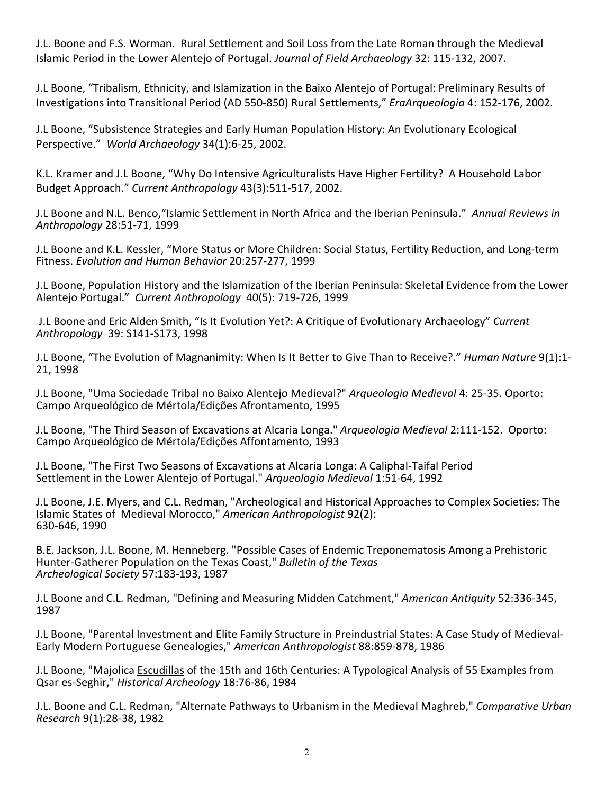J.L. Boone and F.S. Worman. Rural Settlement and Soil Loss from the Late Roman through the Medieval Islamic Period in the Lower Alentejo of Portugal. *Journal of Field Archaeology* 32: 115-132, 2007.

J.L Boone, "Tribalism, Ethnicity, and Islamization in the Baixo Alentejo of Portugal: Preliminary Results of Investigations into Transitional Period (AD 550-850) Rural Settlements," *EraArqueologia* 4: 152-176, 2002.

J.L Boone, "Subsistence Strategies and Early Human Population History: An Evolutionary Ecological Perspective." *World Archaeology* 34(1):6-25, 2002.

K.L. Kramer and J.L Boone, "Why Do Intensive Agriculturalists Have Higher Fertility? A Household Labor Budget Approach." *Current Anthropology* 43(3):511-517, 2002.

J.L Boone and N.L. Benco,"Islamic Settlement in North Africa and the Iberian Peninsula." *Annual Reviews in Anthropology* 28:51-71, 1999

J.L Boone and K.L. Kessler, "More Status or More Children: Social Status, Fertility Reduction, and Long-term Fitness. *Evolution and Human Behavior* 20:257-277, 1999

J.L Boone, Population History and the Islamization of the Iberian Peninsula: Skeletal Evidence from the Lower Alentejo Portugal." *Current Anthropology* 40(5): 719-726, 1999

J.L Boone and Eric Alden Smith, "Is It Evolution Yet?: A Critique of Evolutionary Archaeology" *Current Anthropology* 39: S141-S173, 1998

J.L Boone, "The Evolution of Magnanimity: When Is It Better to Give Than to Receive?." *Human Nature* 9(1):1- 21, 1998

J.L Boone, "Uma Sociedade Tribal no Baixo Alentejo Medieval?" *Arqueologia Medieval* 4: 25-35. Oporto: Campo Arqueológico de Mértola/Edições Afrontamento, 1995

J.L Boone, "The Third Season of Excavations at Alcaria Longa." *Arqueologia Medieval* 2:111-152. Oporto: Campo Arqueológico de Mértola/Edições Affontamento, 1993

J.L Boone, "The First Two Seasons of Excavations at Alcaria Longa: A Caliphal-Taifal Period Settlement in the Lower Alentejo of Portugal." *Arqueologia Medieval* 1:51-64, 1992

J.L Boone, J.E. Myers, and C.L. Redman, "Archeological and Historical Approaches to Complex Societies: The Islamic States of Medieval Morocco," *American Anthropologist* 92(2): 630-646, 1990

B.E. Jackson, J.L. Boone, M. Henneberg. "Possible Cases of Endemic Treponematosis Among a Prehistoric Hunter-Gatherer Population on the Texas Coast," *Bulletin of the Texas Archeological Society* 57:183-193, 1987

J.L Boone and C.L. Redman, "Defining and Measuring Midden Catchment," *American Antiquity* 52:336-345, 1987

J.L Boone, "Parental Investment and Elite Family Structure in Preindustrial States: A Case Study of Medieval-Early Modern Portuguese Genealogies," *American Anthropologist* 88:859-878, 1986

J.L Boone, "Majolica Escudillas of the 15th and 16th Centuries: A Typological Analysis of 55 Examples from Qsar es-Seghir," *Historical Archeology* 18:76-86, 1984

J.L. Boone and C.L. Redman, "Alternate Pathways to Urbanism in the Medieval Maghreb," *Comparative Urban Research* 9(1):28-38, 1982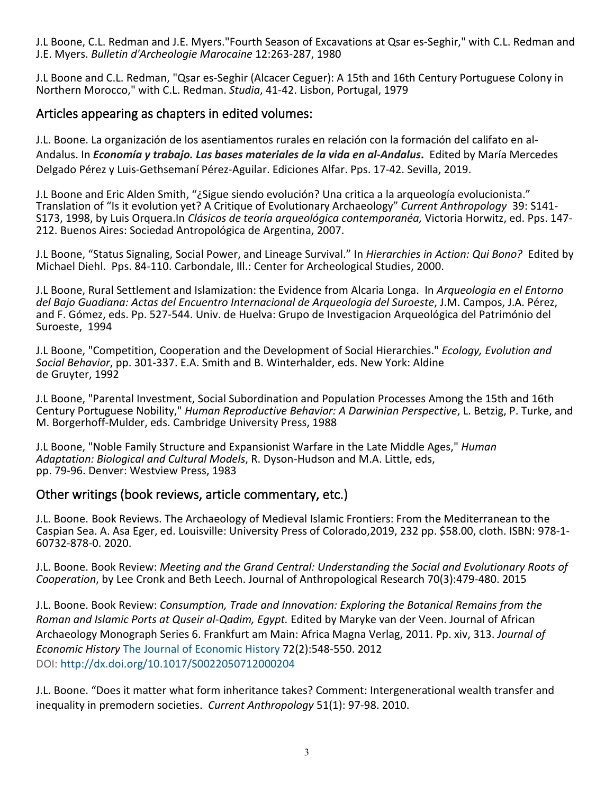J.L Boone, C.L. Redman and J.E. Myers."Fourth Season of Excavations at Qsar es-Seghir," with C.L. Redman and J.E. Myers. *Bulletin d'Archeologie Marocaine* 12:263-287, 1980

J.L Boone and C.L. Redman, "Qsar es-Seghir (Alcacer Ceguer): A 15th and 16th Century Portuguese Colony in Northern Morocco," with C.L. Redman. *Studia*, 41-42. Lisbon, Portugal, 1979

## Articles appearing as chapters in edited volumes:

J.L. Boone. La organización de los asentiamentos rurales en relación con la formación del califato en al-Andalus. In *Economía y trabajo. Las bases materiales de la vida en al-Andalus***.** Edited by María Mercedes Delgado Pérez y Luis-Gethsemaní Pérez-Aguilar. Ediciones Alfar. Pps. 17-42. Sevilla, 2019.

J.L Boone and Eric Alden Smith, "¿Sigue siendo evolución? Una critica a la arqueología evolucionista."<br>Translation of "Is it evolution yet? A Critique of Evolutionary Archaeology" Current Anthropology 39: S141-S173, 1998, by Luis Orquera. In Clásicos de teoría arqueológica contemporanéa, Victoria Horwitz, ed. Pps. 147-<br>212. Buenos Aires: Sociedad Antropológica de Argentina, 2007.

J.L Boone, "Status Signaling, Social Power, and Lineage Survival." In *Hierarchies in Action: Qui Bono?* Edited by Michael Diehl. Pps. 84-110. Carbondale, Ill.: Center for Archeological Studies, 2000.

J.L Boone, Rural Settlement and Islamization: the Evidence from Alcaria Longa. In *Arqueologia en el Entorno del Bajo Guadiana: Actas del Encuentro Internacional de Arqueologia del Suroeste*, J.M. Campos, J.A. Pérez, and F. Gómez, eds. Pp. 527-544. Univ. de Huelva: Grupo de Investigacion Arqueológica del Património del Suroeste, 1994

J.L Boone, "Competition, Cooperation and the Development of Social Hierarchies." *Ecology, Evolution and Social Behavior*, pp. 301-337. E.A. Smith and B. Winterhalder, eds. New York: Aldine de Gruyter, 1992

J.L Boone, "Parental Investment, Social Subordination and Population Processes Among the 15th and 16th Century Portuguese Nobility," *Human Reproductive Behavior: A Darwinian Perspective*, L. Betzig, P. Turke, and M. Borgerhoff-Mulder, eds. Cambridge University Press, 1988

J.L Boone, "Noble Family Structure and Expansionist Warfare in the Late Middle Ages," *Human Adaptation: Biological and Cultural Models*, R. Dyson-Hudson and M.A. Little, eds, pp. 79-96. Denver: Westview Press, 1983

## Other writings (book reviews, article commentary, etc.)

J.L. Boone. Book Reviews. The Archaeology of Medieval Islamic Frontiers: From the Mediterranean to the Caspian Sea. A. Asa Eger, ed. Louisville: University Press of Colorado,2019, 232 pp. \$58.00, cloth. ISBN: 978-1- 60732-878-0. 2020.

J.L. Boone. Book Review: *Meeting and the Grand Central: Understanding the Social and Evolutionary Roots of Cooperation*, by Lee Cronk and Beth Leech. Journal of Anthropological Research 70(3):479-480. 2015

J.L. Boone. Book Review: *Consumption, Trade and Innovation: Exploring the Botanical Remains from the Roman and Islamic Ports at Quseir al-Qadim, Egypt.* Edited by Maryke van der Veen. Journal of African Archaeology Monograph Series 6. Frankfurt am Main: Africa Magna Verlag, 2011. Pp. xiv, 313. *Journal of Economic History* The Journal of Economic History 72(2):548-550. 2012 DOI: http://dx.doi.org/10.1017/S0022050712000204

J.L. Boone. "Does it matter what form inheritance takes? Comment: Intergenerational wealth transfer and inequality in premodern societies. *Current Anthropology* 51(1): 97-98. 2010.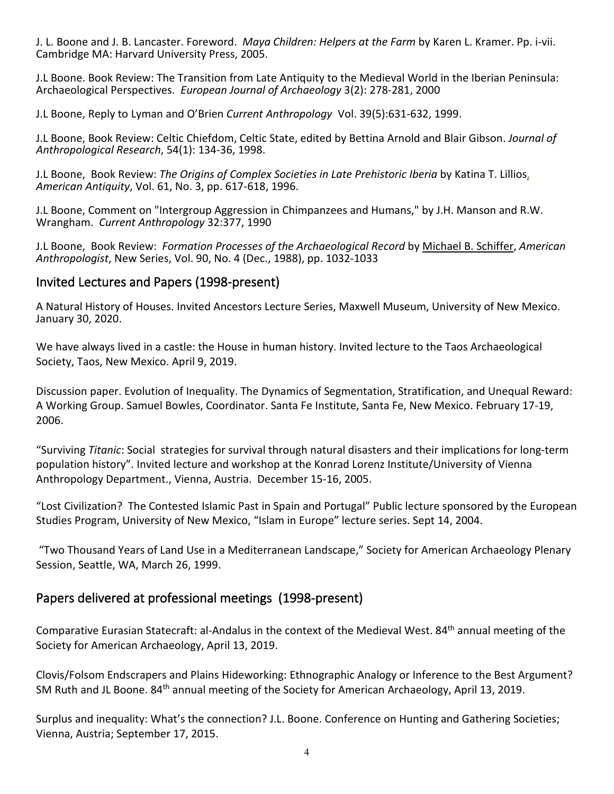J. L. Boone and J. B. Lancaster. Foreword. *Maya Children: Helpers at the Farm* by Karen L. Kramer. Pp. i-vii. Cambridge MA: Harvard University Press, 2005.

J.L Boone. Book Review: The Transition from Late Antiquity to the Medieval World in the Iberian Peninsula: Archaeological Perspectives. *European Journal of Archaeology* 3(2): 278-281, 2000

J.L Boone, Reply to Lyman and O'Brien *Current Anthropology* Vol. 39(5):631-632, 1999.

J.L Boone, Book Review: Celtic Chiefdom, Celtic State, edited by Bettina Arnold and Blair Gibson. *Journal of Anthropological Research*, 54(1): 134-36, 1998.

J.L Boone, Book Review: *The Origins of Complex Societies in Late Prehistoric Iberia* by Katina T. Lillios, *American Antiquity*, Vol. 61, No. 3, pp. 617-618, 1996.

J.L Boone, Comment on "Intergroup Aggression in Chimpanzees and Humans," by J.H. Manson and R.W. Wrangham. *Current Anthropology* 32:377, 1990

J.L Boone, Book Review: *Formation Processes of the Archaeological Record* by Michael B. Schiffer, *American Anthropologist*, New Series, Vol. 90, No. 4 (Dec., 1988), pp. 1032-1033

## Invited Lectures and Papers (1998-present)

A Natural History of Houses. Invited Ancestors Lecture Series, Maxwell Museum, University of New Mexico. January 30, 2020.

We have always lived in a castle: the House in human history. Invited lecture to the Taos Archaeological Society, Taos, New Mexico. April 9, 2019.

Discussion paper. Evolution of Inequality. The Dynamics of Segmentation, Stratification, and Unequal Reward: A Working Group. Samuel Bowles, Coordinator. Santa Fe Institute, Santa Fe, New Mexico. February 17-19, 2006.

"Surviving *Titanic*: Social strategies for survival through natural disasters and their implications for long-term population history". Invited lecture and workshop at the Konrad Lorenz Institute/University of Vienna Anthropology Department., Vienna, Austria. December 15-16, 2005.

"Lost Civilization? The Contested Islamic Past in Spain and Portugal" Public lecture sponsored by the European Studies Program, University of New Mexico, "Islam in Europe" lecture series. Sept 14, 2004.

"Two Thousand Years of Land Use in a Mediterranean Landscape," Society for American Archaeology Plenary Session, Seattle, WA, March 26, 1999.

## Papers delivered at professional meetings (1998-present)

Comparative Eurasian Statecraft: al-Andalus in the context of the Medieval West. 84th annual meeting of the Society for American Archaeology, April 13, 2019.

Clovis/Folsom Endscrapers and Plains Hideworking: Ethnographic Analogy or Inference to the Best Argument? SM Ruth and JL Boone. 84<sup>th</sup> annual meeting of the Society for American Archaeology, April 13, 2019.

Surplus and inequality: What's the connection? J.L. Boone. Conference on Hunting and Gathering Societies; Vienna, Austria; September 17, 2015.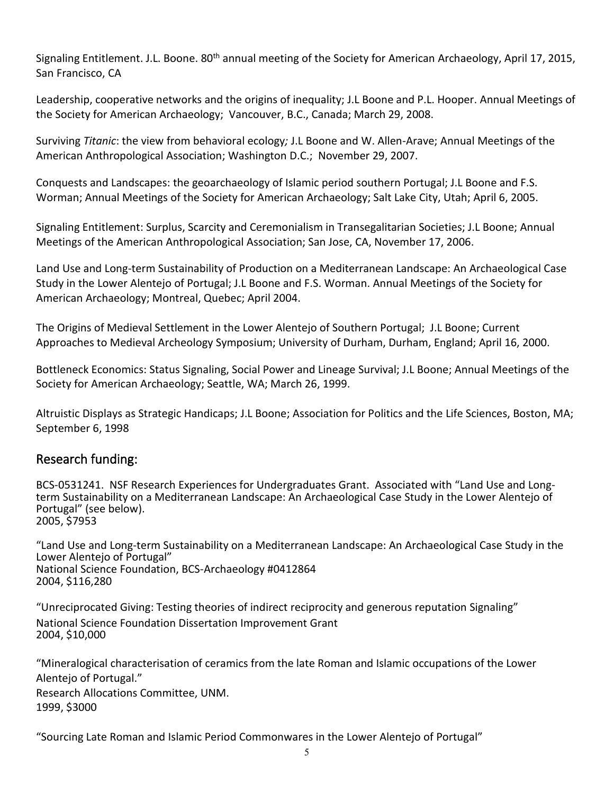Signaling Entitlement. J.L. Boone. 80<sup>th</sup> annual meeting of the Society for American Archaeology, April 17, 2015, San Francisco, CA

Leadership, cooperative networks and the origins of inequality; J.L Boone and P.L. Hooper. Annual Meetings of the Society for American Archaeology; Vancouver, B.C., Canada; March 29, 2008.

Surviving *Titanic*: the view from behavioral ecology*;* J.L Boone and W. Allen-Arave; Annual Meetings of the American Anthropological Association; Washington D.C.; November 29, 2007.

Conquests and Landscapes: the geoarchaeology of Islamic period southern Portugal; J.L Boone and F.S. Worman; Annual Meetings of the Society for American Archaeology; Salt Lake City, Utah; April 6, 2005.

Signaling Entitlement: Surplus, Scarcity and Ceremonialism in Transegalitarian Societies; J.L Boone; Annual Meetings of the American Anthropological Association; San Jose, CA, November 17, 2006.

Land Use and Long-term Sustainability of Production on a Mediterranean Landscape: An Archaeological Case Study in the Lower Alentejo of Portugal; J.L Boone and F.S. Worman. Annual Meetings of the Society for American Archaeology; Montreal, Quebec; April 2004.

The Origins of Medieval Settlement in the Lower Alentejo of Southern Portugal; J.L Boone; Current Approaches to Medieval Archeology Symposium; University of Durham, Durham, England; April 16, 2000.

Bottleneck Economics: Status Signaling, Social Power and Lineage Survival; J.L Boone; Annual Meetings of the Society for American Archaeology; Seattle, WA; March 26, 1999.

Altruistic Displays as Strategic Handicaps; J.L Boone; Association for Politics and the Life Sciences, Boston, MA; September 6, 1998

## Research funding:

BCS-0531241. NSF Research Experiences for Undergraduates Grant. Associated with "Land Use and Longterm Sustainability on a Mediterranean Landscape: An Archaeological Case Study in the Lower Alentejo of Portugal" (see below). 2005, \$7953

"Land Use and Long-term Sustainability on a Mediterranean Landscape: An Archaeological Case Study in the Lower Alentejo of Portugal" National Science Foundation, BCS-Archaeology #0412864 2004, \$116,280

"Unreciprocated Giving: Testing theories of indirect reciprocity and generous reputation Signaling" National Science Foundation Dissertation Improvement Grant 2004, \$10,000

"Mineralogical characterisation of ceramics from the late Roman and Islamic occupations of the Lower Alentejo of Portugal." Research Allocations Committee, UNM. 1999, \$3000

"Sourcing Late Roman and Islamic Period Commonwares in the Lower Alentejo of Portugal"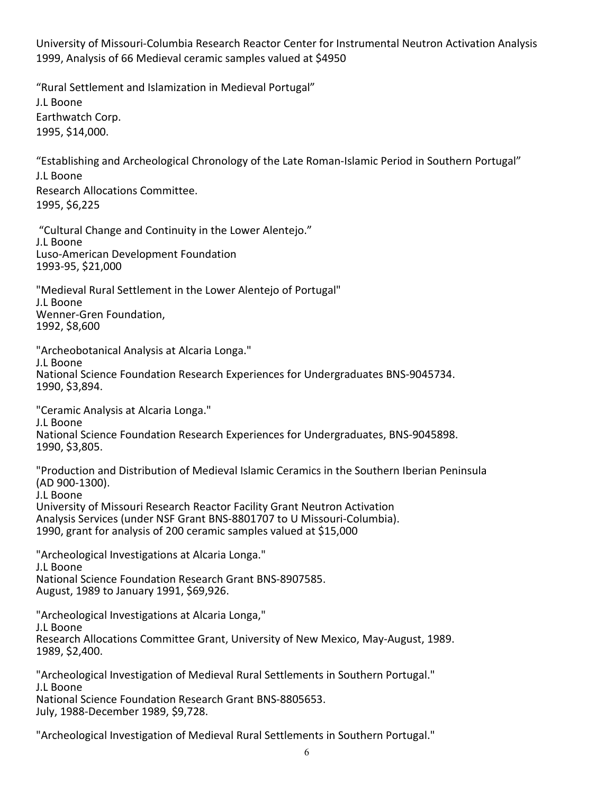University of Missouri-Columbia Research Reactor Center for Instrumental Neutron Activation Analysis 1999, Analysis of 66 Medieval ceramic samples valued at \$4950

"Rural Settlement and Islamization in Medieval Portugal" J.L Boone Earthwatch Corp. 1995, \$14,000.

"Establishing and Archeological Chronology of the Late Roman-Islamic Period in Southern Portugal" J.L Boone Research Allocations Committee. 1995, \$6,225

"Cultural Change and Continuity in the Lower Alentejo." J.L Boone Luso-American Development Foundation

1993-95, \$21,000

"Medieval Rural Settlement in the Lower Alentejo of Portugal" J.L Boone Wenner-Gren Foundation, 1992, \$8,600

"Archeobotanical Analysis at Alcaria Longa." J.L Boone National Science Foundation Research Experiences for Undergraduates BNS-9045734. 1990, \$3,894.

"Ceramic Analysis at Alcaria Longa." J.L Boone National Science Foundation Research Experiences for Undergraduates, BNS-9045898. 1990, \$3,805.

"Production and Distribution of Medieval Islamic Ceramics in the Southern Iberian Peninsula (AD 900-1300). J.L Boone University of Missouri Research Reactor Facility Grant Neutron Activation Analysis Services (under NSF Grant BNS-8801707 to U Missouri-Columbia). 1990, grant for analysis of 200 ceramic samples valued at \$15,000

"Archeological Investigations at Alcaria Longa." J.L Boone National Science Foundation Research Grant BNS-8907585. August, 1989 to January 1991, \$69,926.

"Archeological Investigations at Alcaria Longa," J.L Boone Research Allocations Committee Grant, University of New Mexico, May-August, 1989. 1989, \$2,400.

"Archeological Investigation of Medieval Rural Settlements in Southern Portugal." J.L Boone National Science Foundation Research Grant BNS-8805653. July, 1988-December 1989, \$9,728.

"Archeological Investigation of Medieval Rural Settlements in Southern Portugal."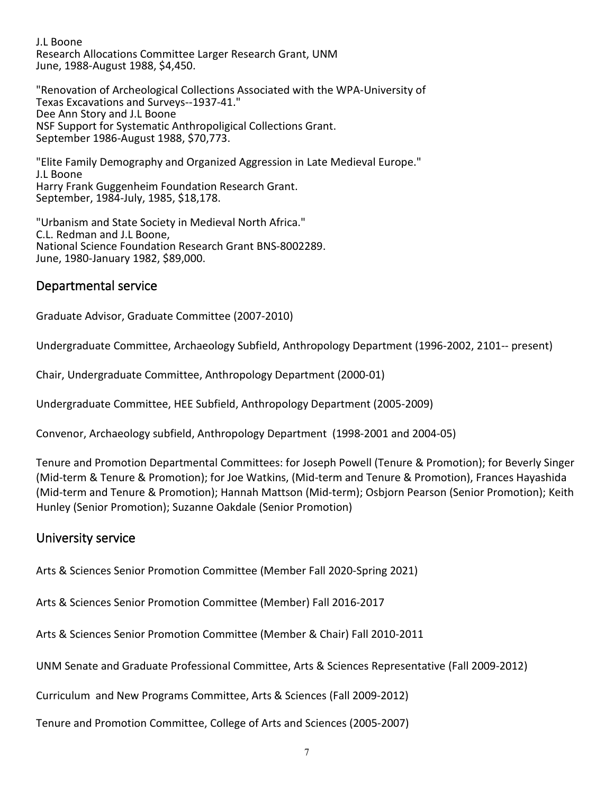J.L Boone Research Allocations Committee Larger Research Grant, UNM June, 1988-August 1988, \$4,450.

"Renovation of Archeological Collections Associated with the WPA-University of Texas Excavations and Surveys--1937-41." Dee Ann Story and J.L Boone NSF Support for Systematic Anthropoligical Collections Grant. September 1986-August 1988, \$70,773.

"Elite Family Demography and Organized Aggression in Late Medieval Europe." J.L Boone Harry Frank Guggenheim Foundation Research Grant. September, 1984-July, 1985, \$18,178.

"Urbanism and State Society in Medieval North Africa." C.L. Redman and J.L Boone, National Science Foundation Research Grant BNS-8002289. June, 1980-January 1982, \$89,000.

## Departmental service

Graduate Advisor, Graduate Committee (2007-2010)

Undergraduate Committee, Archaeology Subfield, Anthropology Department (1996-2002, 2101-- present)

Chair, Undergraduate Committee, Anthropology Department (2000-01)

Undergraduate Committee, HEE Subfield, Anthropology Department (2005-2009)

Convenor, Archaeology subfield, Anthropology Department (1998-2001 and 2004-05)

Tenure and Promotion Departmental Committees: for Joseph Powell (Tenure & Promotion); for Beverly Singer (Mid-term & Tenure & Promotion); for Joe Watkins, (Mid-term and Tenure & Promotion), Frances Hayashida (Mid-term and Tenure & Promotion); Hannah Mattson (Mid-term); Osbjorn Pearson (Senior Promotion); Keith Hunley (Senior Promotion); Suzanne Oakdale (Senior Promotion)

## University service

Arts & Sciences Senior Promotion Committee (Member Fall 2020-Spring 2021)

Arts & Sciences Senior Promotion Committee (Member) Fall 2016-2017

Arts & Sciences Senior Promotion Committee (Member & Chair) Fall 2010-2011

UNM Senate and Graduate Professional Committee, Arts & Sciences Representative (Fall 2009-2012)

Curriculum and New Programs Committee, Arts & Sciences (Fall 2009-2012)

Tenure and Promotion Committee, College of Arts and Sciences (2005-2007)